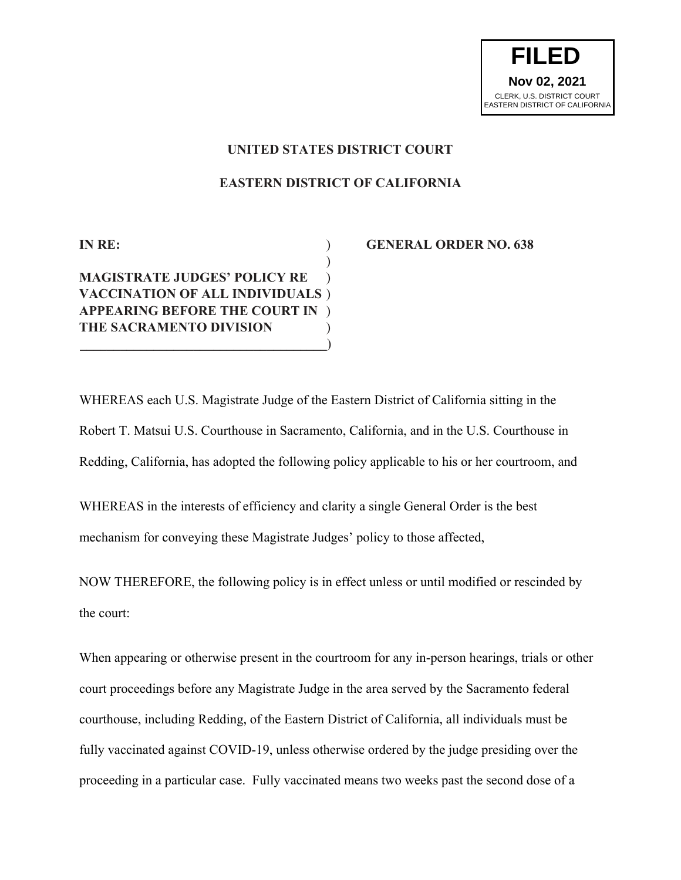

## **UNITED STATES DISTRICT COURT**

## **EASTERN DISTRICT OF CALIFORNIA**

## ) **MAGISTRATE JUDGES' POLICY RE** ) **VACCINATION OF ALL INDIVIDUALS** ) **APPEARING BEFORE THE COURT IN** ) **THE SACRAMENTO DIVISION** ) **\_\_\_\_\_\_\_\_\_\_\_\_\_\_\_\_\_\_\_\_\_\_\_\_\_\_\_\_\_\_\_\_\_\_\_\_\_**)

## **IN RE:** ) **GENERAL ORDER NO. 638**

WHEREAS each U.S. Magistrate Judge of the Eastern District of California sitting in the Robert T. Matsui U.S. Courthouse in Sacramento, California, and in the U.S. Courthouse in Redding, California, has adopted the following policy applicable to his or her courtroom, and

WHEREAS in the interests of efficiency and clarity a single General Order is the best mechanism for conveying these Magistrate Judges' policy to those affected,

NOW THEREFORE, the following policy is in effect unless or until modified or rescinded by the court:

When appearing or otherwise present in the courtroom for any in-person hearings, trials or other court proceedings before any Magistrate Judge in the area served by the Sacramento federal courthouse, including Redding, of the Eastern District of California, all individuals must be fully vaccinated against COVID-19, unless otherwise ordered by the judge presiding over the proceeding in a particular case. Fully vaccinated means two weeks past the second dose of a